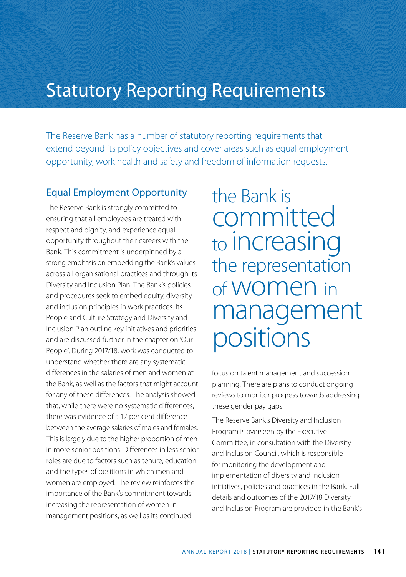## Statutory Reporting Requirements

The Reserve Bank has a number of statutory reporting requirements that extend beyond its policy objectives and cover areas such as equal employment opportunity, work health and safety and freedom of information requests.

#### Equal Employment Opportunity

The Reserve Bank is strongly committed to ensuring that all employees are treated with respect and dignity, and experience equal opportunity throughout their careers with the Bank. This commitment is underpinned by a strong emphasis on embedding the Bank's values across all organisational practices and through its Diversity and Inclusion Plan. The Bank's policies and procedures seek to embed equity, diversity and inclusion principles in work practices. Its People and Culture Strategy and Diversity and Inclusion Plan outline key initiatives and priorities and are discussed further in the chapter on 'Our People'. During 2017/18, work was conducted to understand whether there are any systematic differences in the salaries of men and women at the Bank, as well as the factors that might account for any of these differences. The analysis showed that, while there were no systematic differences, there was evidence of a 17 per cent difference between the average salaries of males and females. This is largely due to the higher proportion of men in more senior positions. Differences in less senior roles are due to factors such as tenure, education and the types of positions in which men and women are employed. The review reinforces the importance of the Bank's commitment towards increasing the representation of women in management positions, as well as its continued

the Bank is committed to increasing the representation of women in management positions

focus on talent management and succession planning. There are plans to conduct ongoing reviews to monitor progress towards addressing these gender pay gaps.

The Reserve Bank's Diversity and Inclusion Program is overseen by the Executive Committee, in consultation with the Diversity and Inclusion Council, which is responsible for monitoring the development and implementation of diversity and inclusion initiatives, policies and practices in the Bank. Full details and outcomes of the 2017/18 Diversity and Inclusion Program are provided in the Bank's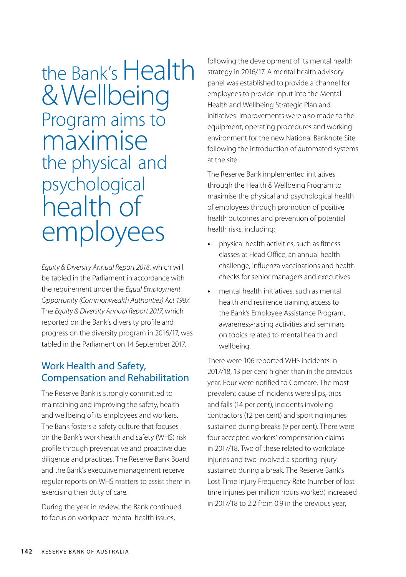# the Bank's Health & Wellbeing Program aims to maximise the physical and psychological health of employees

*Equity & Diversity Annual Report 2018*, which will be tabled in the Parliament in accordance with the requirement under the *Equal Employment Opportunity (Commonwealth Authorities) Act 1987*. The *Equity & Diversity Annual Report 2017*, which reported on the Bank's diversity profile and progress on the diversity program in 2016/17, was tabled in the Parliament on 14 September 2017.

#### Work Health and Safety, Compensation and Rehabilitation

The Reserve Bank is strongly committed to maintaining and improving the safety, health and wellbeing of its employees and workers. The Bank fosters a safety culture that focuses on the Bank's work health and safety (WHS) risk profile through preventative and proactive due diligence and practices. The Reserve Bank Board and the Bank's executive management receive regular reports on WHS matters to assist them in exercising their duty of care.

During the year in review, the Bank continued to focus on workplace mental health issues,

following the development of its mental health strategy in 2016/17. A mental health advisory panel was established to provide a channel for employees to provide input into the Mental Health and Wellbeing Strategic Plan and initiatives. Improvements were also made to the equipment, operating procedures and working environment for the new National Banknote Site following the introduction of automated systems at the site.

The Reserve Bank implemented initiatives through the Health & Wellbeing Program to maximise the physical and psychological health of employees through promotion of positive health outcomes and prevention of potential health risks, including:

- **•** physical health activities, such as fitness classes at Head Office, an annual health challenge, influenza vaccinations and health checks for senior managers and executives
- **•** mental health initiatives, such as mental health and resilience training, access to the Bank's Employee Assistance Program, awareness-raising activities and seminars on topics related to mental health and wellbeing.

There were 106 reported WHS incidents in 2017/18, 13 per cent higher than in the previous year. Four were notified to Comcare. The most prevalent cause of incidents were slips, trips and falls (14 per cent), incidents involving contractors (12 per cent) and sporting injuries sustained during breaks (9 per cent). There were four accepted workers' compensation claims in 2017/18. Two of these related to workplace injuries and two involved a sporting injury sustained during a break. The Reserve Bank's Lost Time Injury Frequency Rate (number of lost time injuries per million hours worked) increased in 2017/18 to 2.2 from 0.9 in the previous year,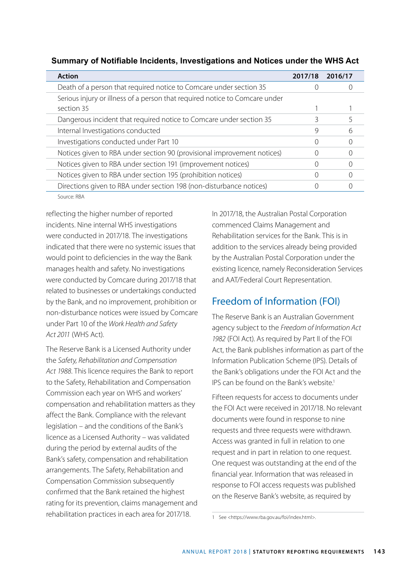| <b>Action</b>                                                               | 2017/18 | 2016/17 |
|-----------------------------------------------------------------------------|---------|---------|
| Death of a person that required notice to Comcare under section 35          |         |         |
| Serious injury or illness of a person that required notice to Comcare under |         |         |
| section 35                                                                  |         |         |
| Dangerous incident that required notice to Comcare under section 35         |         | 5       |
| Internal Investigations conducted                                           | 9       | 6       |
| Investigations conducted under Part 10                                      | Ω       |         |
| Notices given to RBA under section 90 (provisional improvement notices)     |         |         |
| Notices given to RBA under section 191 (improvement notices)                |         |         |
| Notices given to RBA under section 195 (prohibition notices)                |         |         |
| Directions given to RBA under section 198 (non-disturbance notices)         |         |         |
| $\sim$ $\sim$ $\sim$                                                        |         |         |

**Summary of Notifiable Incidents, Investigations and Notices under the WHS Act**

Source: RBA

reflecting the higher number of reported incidents. Nine internal WHS investigations were conducted in 2017/18. The investigations indicated that there were no systemic issues that would point to deficiencies in the way the Bank manages health and safety. No investigations were conducted by Comcare during 2017/18 that related to businesses or undertakings conducted by the Bank, and no improvement, prohibition or non-disturbance notices were issued by Comcare under Part 10 of the *Work Health and Safety Act 2011* (WHS Act).

The Reserve Bank is a Licensed Authority under the *Safety, Rehabilitation and Compensation Act 1988*. This licence requires the Bank to report to the Safety, Rehabilitation and Compensation Commission each year on WHS and workers' compensation and rehabilitation matters as they affect the Bank. Compliance with the relevant legislation – and the conditions of the Bank's licence as a Licensed Authority – was validated during the period by external audits of the Bank's safety, compensation and rehabilitation arrangements. The Safety, Rehabilitation and Compensation Commission subsequently confirmed that the Bank retained the highest rating for its prevention, claims management and rehabilitation practices in each area for 2017/18.

In 2017/18, the Australian Postal Corporation commenced Claims Management and Rehabilitation services for the Bank. This is in addition to the services already being provided by the Australian Postal Corporation under the existing licence, namely Reconsideration Services and AAT/Federal Court Representation.

### Freedom of Information (FOI)

The Reserve Bank is an Australian Government agency subject to the *Freedom of Information Act 1982* (FOI Act). As required by Part II of the FOI Act, the Bank publishes information as part of the Information Publication Scheme (IPS). Details of the Bank's obligations under the FOI Act and the IPS can be found on the Bank's website<sup>1</sup>

Fifteen requests for access to documents under the FOI Act were received in 2017/18. No relevant documents were found in response to nine requests and three requests were withdrawn. Access was granted in full in relation to one request and in part in relation to one request. One request was outstanding at the end of the financial year. Information that was released in response to FOI access requests was published on the Reserve Bank's website, as required by

<sup>1</sup> See <https://www.rba.gov.au/foi/index.html>.